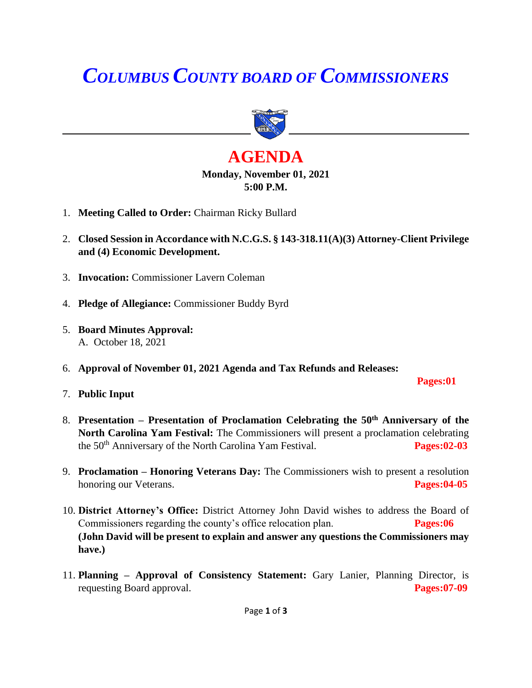# *COLUMBUS COUNTY BOARD OF COMMISSIONERS*



## **AGENDA Monday, November 01, 2021 5:00 P.M.**

- 1. **Meeting Called to Order:** Chairman Ricky Bullard
- 2. **Closed Session in Accordance with N.C.G.S. § 143-318.11(A)(3) Attorney-Client Privilege and (4) Economic Development.**
- 3. **Invocation:** Commissioner Lavern Coleman
- 4. **Pledge of Allegiance:** Commissioner Buddy Byrd
- 5. **Board Minutes Approval:** A. October 18, 2021
- 6. **Approval of November 01, 2021 Agenda and Tax Refunds and Releases:**

 **Pages:01** 

- 7. **Public Input**
- 8. **Presentation – Presentation of Proclamation Celebrating the 50th Anniversary of the North Carolina Yam Festival:** The Commissioners will present a proclamation celebrating the 50<sup>th</sup> Anniversary of the North Carolina Yam Festival. **Pages:02-03**
- 9. **Proclamation – Honoring Veterans Day:** The Commissioners wish to present a resolution honoring our Veterans. **Pages:04-05**
- 10. **District Attorney's Office:** District Attorney John David wishes to address the Board of Commissioners regarding the county's office relocation plan. **Pages:06 (John David will be present to explain and answer any questions the Commissioners may have.)**
- 11. **Planning – Approval of Consistency Statement:** Gary Lanier, Planning Director, is requesting Board approval. **Pages:07-09**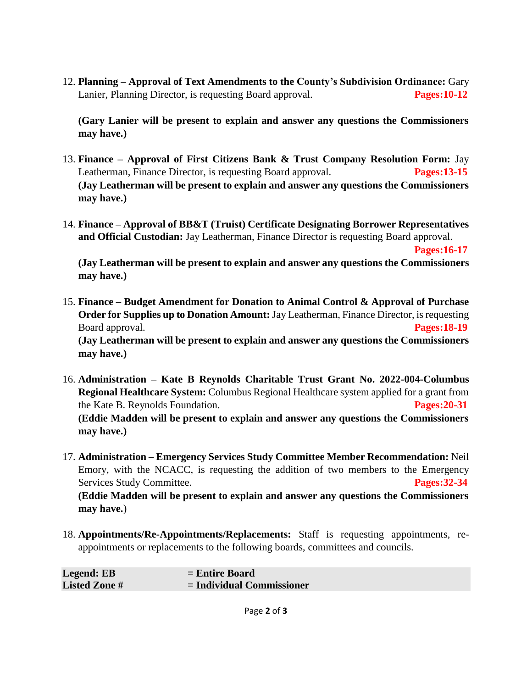12. **Planning – Approval of Text Amendments to the County's Subdivision Ordinance:** Gary Lanier, Planning Director, is requesting Board approval. **Pages:10-12**

**(Gary Lanier will be present to explain and answer any questions the Commissioners may have.)**

- 13. **Finance – Approval of First Citizens Bank & Trust Company Resolution Form:** Jay Leatherman, Finance Director, is requesting Board approval. **Pages:13-15 (Jay Leatherman will be present to explain and answer any questions the Commissioners may have.)**
- 14. **Finance – Approval of BB&T (Truist) Certificate Designating Borrower Representatives and Official Custodian:** Jay Leatherman, Finance Director is requesting Board approval.

 **Pages:16-17**

**(Jay Leatherman will be present to explain and answer any questions the Commissioners may have.)**

- 15. **Finance – Budget Amendment for Donation to Animal Control & Approval of Purchase Order for Supplies up to Donation Amount:** Jay Leatherman, Finance Director, is requesting Board approval. **Pages:18-19 (Jay Leatherman will be present to explain and answer any questions the Commissioners may have.)**
- 16. **Administration – Kate B Reynolds Charitable Trust Grant No. 2022-004-Columbus Regional Healthcare System:** Columbus Regional Healthcare system applied for a grant from the Kate B. Reynolds Foundation. **Pages:20-31 (Eddie Madden will be present to explain and answer any questions the Commissioners may have.)**
- 17. **Administration – Emergency Services Study Committee Member Recommendation:** Neil Emory, with the NCACC, is requesting the addition of two members to the Emergency Services Study Committee. **Pages:32-34 (Eddie Madden will be present to explain and answer any questions the Commissioners may have.**)
- 18. **Appointments/Re-Appointments/Replacements:** Staff is requesting appointments, reappointments or replacements to the following boards, committees and councils.

| Legend: EB           | $=$ Entire Board            |
|----------------------|-----------------------------|
| <b>Listed Zone</b> # | $=$ Individual Commissioner |